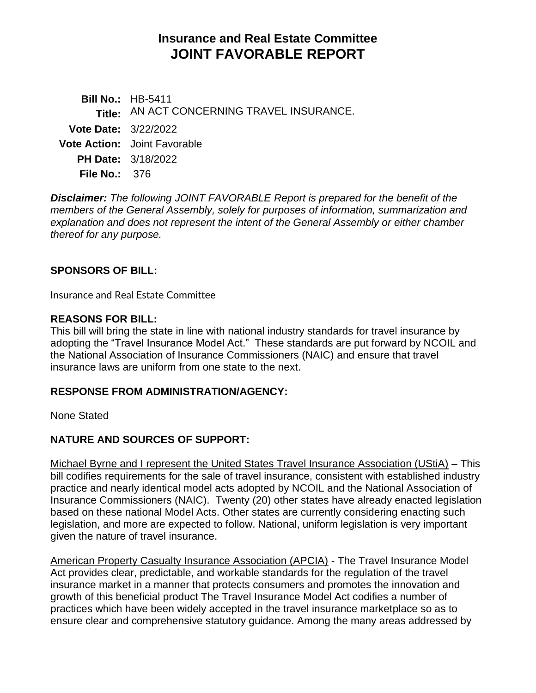# **Insurance and Real Estate Committee JOINT FAVORABLE REPORT**

|                             | <b>Bill No.: HB-5411</b>                   |
|-----------------------------|--------------------------------------------|
|                             | Title: AN ACT CONCERNING TRAVEL INSURANCE. |
| <b>Vote Date: 3/22/2022</b> |                                            |
|                             | <b>Vote Action:</b> Joint Favorable        |
|                             | <b>PH Date: 3/18/2022</b>                  |
| File No.: $376$             |                                            |

*Disclaimer: The following JOINT FAVORABLE Report is prepared for the benefit of the members of the General Assembly, solely for purposes of information, summarization and explanation and does not represent the intent of the General Assembly or either chamber thereof for any purpose.*

### **SPONSORS OF BILL:**

Insurance and Real Estate Committee

### **REASONS FOR BILL:**

This bill will bring the state in line with national industry standards for travel insurance by adopting the "Travel Insurance Model Act." These standards are put forward by NCOIL and the National Association of Insurance Commissioners (NAIC) and ensure that travel insurance laws are uniform from one state to the next.

### **RESPONSE FROM ADMINISTRATION/AGENCY:**

None Stated

# **NATURE AND SOURCES OF SUPPORT:**

Michael Byrne and I represent the United States Travel Insurance Association (UStiA) – This bill codifies requirements for the sale of travel insurance, consistent with established industry practice and nearly identical model acts adopted by NCOIL and the National Association of Insurance Commissioners (NAIC). Twenty (20) other states have already enacted legislation based on these national Model Acts. Other states are currently considering enacting such legislation, and more are expected to follow. National, uniform legislation is very important given the nature of travel insurance.

American Property Casualty Insurance Association (APCIA) - The Travel Insurance Model Act provides clear, predictable, and workable standards for the regulation of the travel insurance market in a manner that protects consumers and promotes the innovation and growth of this beneficial product The Travel Insurance Model Act codifies a number of practices which have been widely accepted in the travel insurance marketplace so as to ensure clear and comprehensive statutory guidance. Among the many areas addressed by